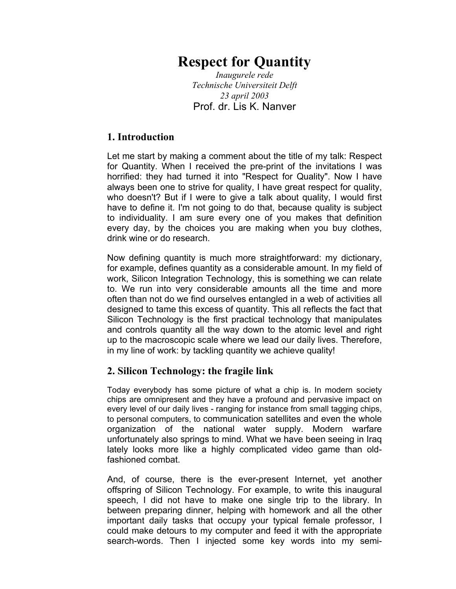## **Respect for Quantity**

*Inaugurele rede Technische Universiteit Delft 23 april 2003*  Prof. dr. Lis K. Nanver

## **1. Introduction**

Let me start by making a comment about the title of my talk: Respect for Quantity. When I received the pre-print of the invitations I was horrified: they had turned it into "Respect for Quality". Now I have always been one to strive for quality, I have great respect for quality, who doesn't? But if I were to give a talk about quality, I would first have to define it. I'm not going to do that, because quality is subject to individuality. I am sure every one of you makes that definition every day, by the choices you are making when you buy clothes, drink wine or do research.

Now defining quantity is much more straightforward: my dictionary, for example, defines quantity as a considerable amount. In my field of work, Silicon Integration Technology, this is something we can relate to. We run into very considerable amounts all the time and more often than not do we find ourselves entangled in a web of activities all designed to tame this excess of quantity. This all reflects the fact that Silicon Technology is the first practical technology that manipulates and controls quantity all the way down to the atomic level and right up to the macroscopic scale where we lead our daily lives. Therefore, in my line of work: by tackling quantity we achieve quality!

## **2. Silicon Technology: the fragile link**

Today everybody has some picture of what a chip is. In modern society chips are omnipresent and they have a profound and pervasive impact on every level of our daily lives - ranging for instance from small tagging chips, to personal computers, to communication satellites and even the whole organization of the national water supply. Modern warfare unfortunately also springs to mind. What we have been seeing in Iraq lately looks more like a highly complicated video game than oldfashioned combat.

And, of course, there is the ever-present Internet, yet another offspring of Silicon Technology. For example, to write this inaugural speech, I did not have to make one single trip to the library. In between preparing dinner, helping with homework and all the other important daily tasks that occupy your typical female professor, I could make detours to my computer and feed it with the appropriate search-words. Then I injected some key words into my semi-